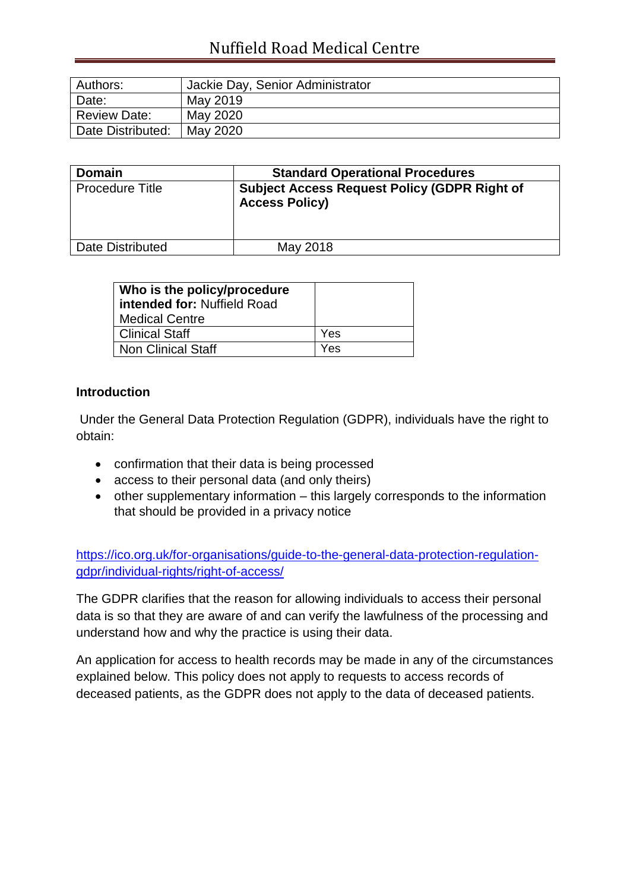# Nuffield Road Medical Centre

| Authors:          | Jackie Day, Senior Administrator |
|-------------------|----------------------------------|
| Date:             | May 2019                         |
| Review Date:      | May 2020                         |
| Date Distributed: | May 2020                         |

| <b>Domain</b>          | <b>Standard Operational Procedures</b>                                       |
|------------------------|------------------------------------------------------------------------------|
| <b>Procedure Title</b> | <b>Subject Access Request Policy (GDPR Right of</b><br><b>Access Policy)</b> |
| Date Distributed       | May 2018                                                                     |

| Who is the policy/procedure<br>intended for: Nuffield Road<br><b>Medical Centre</b> |     |
|-------------------------------------------------------------------------------------|-----|
| <b>Clinical Staff</b>                                                               | Yes |
| <b>Non Clinical Staff</b>                                                           | Yes |

#### **Introduction**

Under the General Data Protection Regulation (GDPR), individuals have the right to obtain:

- confirmation that their data is being processed
- access to their personal data (and only theirs)
- other supplementary information this largely corresponds to the information that should be provided in a privacy notice

[https://ico.org.uk/for-organisations/guide-to-the-general-data-protection-regulation](https://ico.org.uk/for-organisations/guide-to-the-general-data-protection-regulation-gdpr/individual-rights/right-of-access/)[gdpr/individual-rights/right-of-access/](https://ico.org.uk/for-organisations/guide-to-the-general-data-protection-regulation-gdpr/individual-rights/right-of-access/)

The GDPR clarifies that the reason for allowing individuals to access their personal data is so that they are aware of and can verify the lawfulness of the processing and understand how and why the practice is using their data.

An application for access to health records may be made in any of the circumstances explained below. This policy does not apply to requests to access records of deceased patients, as the GDPR does not apply to the data of deceased patients.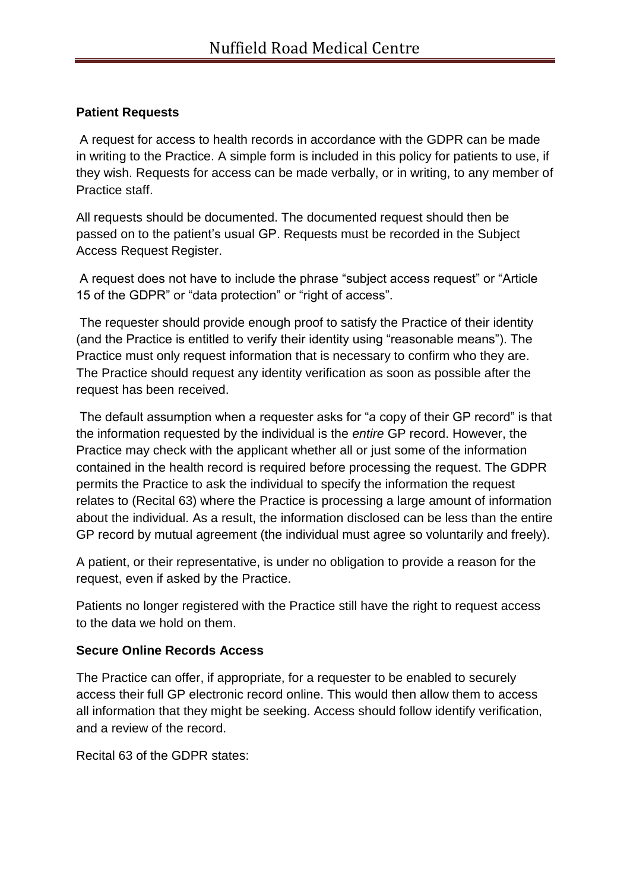### **Patient Requests**

A request for access to health records in accordance with the GDPR can be made in writing to the Practice. A simple form is included in this policy for patients to use, if they wish. Requests for access can be made verbally, or in writing, to any member of Practice staff.

All requests should be documented. The documented request should then be passed on to the patient's usual GP. Requests must be recorded in the Subject Access Request Register.

A request does not have to include the phrase "subject access request" or "Article 15 of the GDPR" or "data protection" or "right of access".

The requester should provide enough proof to satisfy the Practice of their identity (and the Practice is entitled to verify their identity using "reasonable means"). The Practice must only request information that is necessary to confirm who they are. The Practice should request any identity verification as soon as possible after the request has been received.

The default assumption when a requester asks for "a copy of their GP record" is that the information requested by the individual is the *entire* GP record. However, the Practice may check with the applicant whether all or just some of the information contained in the health record is required before processing the request. The GDPR permits the Practice to ask the individual to specify the information the request relates to (Recital 63) where the Practice is processing a large amount of information about the individual. As a result, the information disclosed can be less than the entire GP record by mutual agreement (the individual must agree so voluntarily and freely).

A patient, or their representative, is under no obligation to provide a reason for the request, even if asked by the Practice.

Patients no longer registered with the Practice still have the right to request access to the data we hold on them.

#### **Secure Online Records Access**

The Practice can offer, if appropriate, for a requester to be enabled to securely access their full GP electronic record online. This would then allow them to access all information that they might be seeking. Access should follow identify verification, and a review of the record.

Recital 63 of the GDPR states: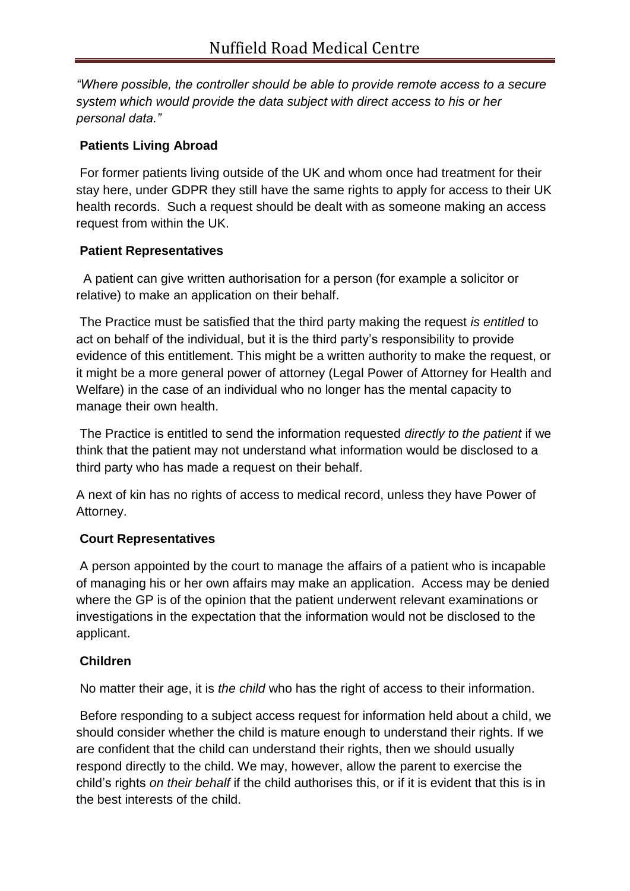*"Where possible, the controller should be able to provide remote access to a secure system which would provide the data subject with direct access to his or her personal data."* 

#### **Patients Living Abroad**

For former patients living outside of the UK and whom once had treatment for their stay here, under GDPR they still have the same rights to apply for access to their UK health records. Such a request should be dealt with as someone making an access request from within the UK.

#### **Patient Representatives**

A patient can give written authorisation for a person (for example a solicitor or relative) to make an application on their behalf.

The Practice must be satisfied that the third party making the request *is entitled* to act on behalf of the individual, but it is the third party's responsibility to provide evidence of this entitlement. This might be a written authority to make the request, or it might be a more general power of attorney (Legal Power of Attorney for Health and Welfare) in the case of an individual who no longer has the mental capacity to manage their own health.

The Practice is entitled to send the information requested *directly to the patient* if we think that the patient may not understand what information would be disclosed to a third party who has made a request on their behalf.

A next of kin has no rights of access to medical record, unless they have Power of Attorney.

## **Court Representatives**

A person appointed by the court to manage the affairs of a patient who is incapable of managing his or her own affairs may make an application. Access may be denied where the GP is of the opinion that the patient underwent relevant examinations or investigations in the expectation that the information would not be disclosed to the applicant.

## **Children**

No matter their age, it is *the child* who has the right of access to their information.

Before responding to a subject access request for information held about a child, we should consider whether the child is mature enough to understand their rights. If we are confident that the child can understand their rights, then we should usually respond directly to the child. We may, however, allow the parent to exercise the child's rights *on their behalf* if the child authorises this, or if it is evident that this is in the best interests of the child.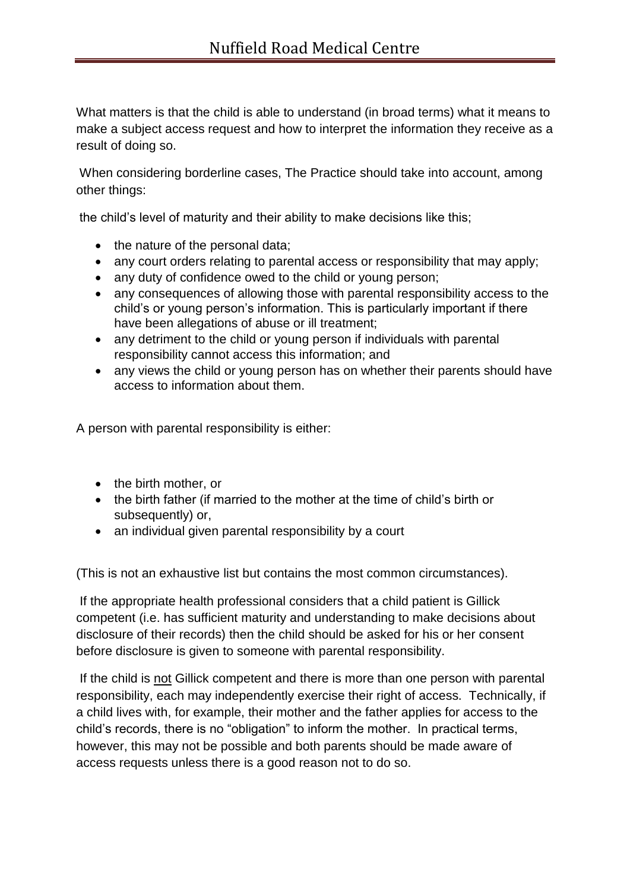What matters is that the child is able to understand (in broad terms) what it means to make a subject access request and how to interpret the information they receive as a result of doing so.

When considering borderline cases, The Practice should take into account, among other things:

the child's level of maturity and their ability to make decisions like this;

- the nature of the personal data;
- any court orders relating to parental access or responsibility that may apply;
- any duty of confidence owed to the child or young person;
- any consequences of allowing those with parental responsibility access to the child's or young person's information. This is particularly important if there have been allegations of abuse or ill treatment;
- any detriment to the child or young person if individuals with parental responsibility cannot access this information; and
- any views the child or young person has on whether their parents should have access to information about them.

A person with parental responsibility is either:

- the birth mother, or
- the birth father (if married to the mother at the time of child's birth or subsequently) or,
- an individual given parental responsibility by a court

(This is not an exhaustive list but contains the most common circumstances).

If the appropriate health professional considers that a child patient is Gillick competent (i.e. has sufficient maturity and understanding to make decisions about disclosure of their records) then the child should be asked for his or her consent before disclosure is given to someone with parental responsibility.

If the child is not Gillick competent and there is more than one person with parental responsibility, each may independently exercise their right of access. Technically, if a child lives with, for example, their mother and the father applies for access to the child's records, there is no "obligation" to inform the mother. In practical terms, however, this may not be possible and both parents should be made aware of access requests unless there is a good reason not to do so.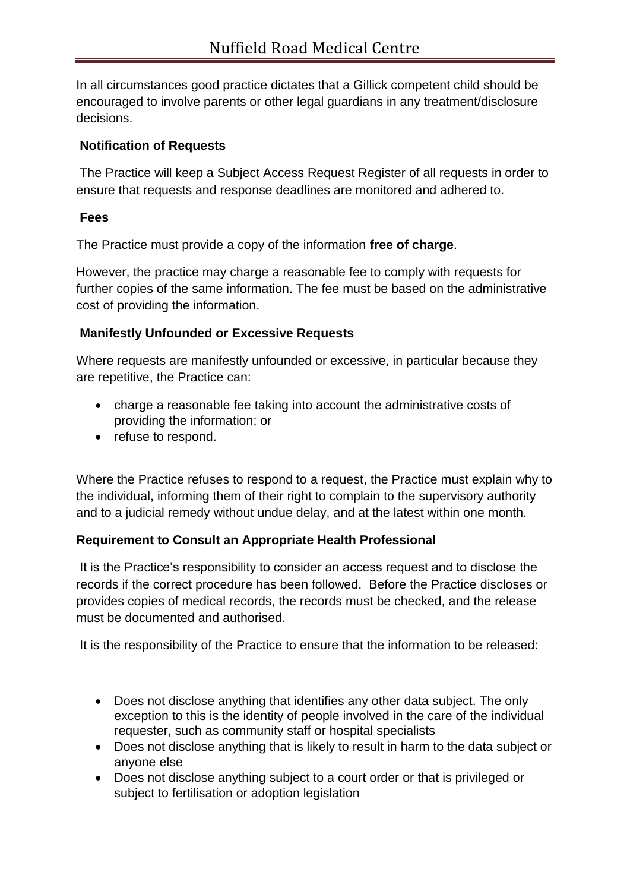In all circumstances good practice dictates that a Gillick competent child should be encouraged to involve parents or other legal guardians in any treatment/disclosure decisions.

#### **Notification of Requests**

The Practice will keep a Subject Access Request Register of all requests in order to ensure that requests and response deadlines are monitored and adhered to.

### **Fees**

The Practice must provide a copy of the information **free of charge**.

However, the practice may charge a reasonable fee to comply with requests for further copies of the same information. The fee must be based on the administrative cost of providing the information.

## **Manifestly Unfounded or Excessive Requests**

Where requests are manifestly unfounded or excessive, in particular because they are repetitive, the Practice can:

- charge a reasonable fee taking into account the administrative costs of providing the information; or
- refuse to respond.

Where the Practice refuses to respond to a request, the Practice must explain why to the individual, informing them of their right to complain to the supervisory authority and to a judicial remedy without undue delay, and at the latest within one month.

## **Requirement to Consult an Appropriate Health Professional**

It is the Practice's responsibility to consider an access request and to disclose the records if the correct procedure has been followed. Before the Practice discloses or provides copies of medical records, the records must be checked, and the release must be documented and authorised.

It is the responsibility of the Practice to ensure that the information to be released:

- Does not disclose anything that identifies any other data subject. The only exception to this is the identity of people involved in the care of the individual requester, such as community staff or hospital specialists
- Does not disclose anything that is likely to result in harm to the data subject or anyone else
- Does not disclose anything subject to a court order or that is privileged or subject to fertilisation or adoption legislation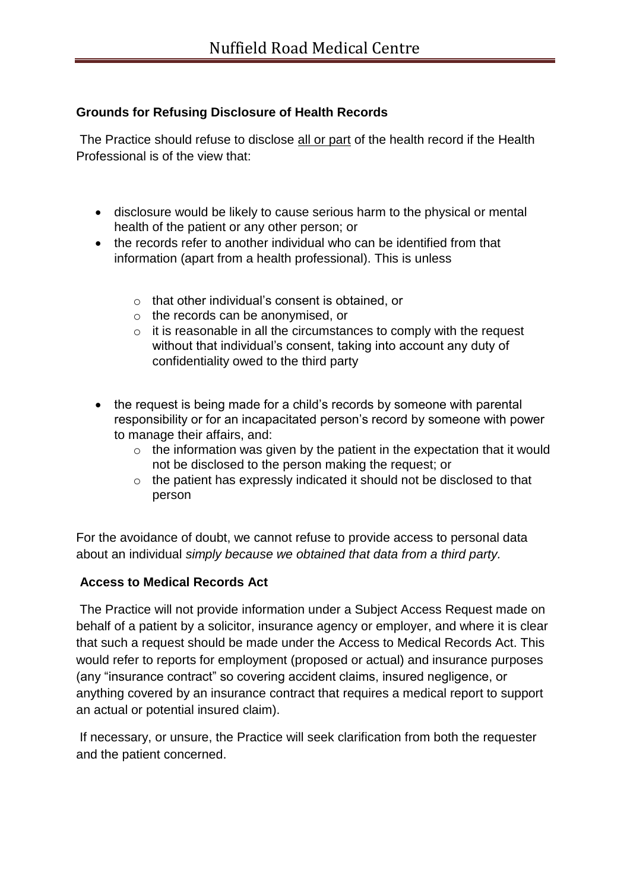## **Grounds for Refusing Disclosure of Health Records**

The Practice should refuse to disclose all or part of the health record if the Health Professional is of the view that:

- disclosure would be likely to cause serious harm to the physical or mental health of the patient or any other person; or
- the records refer to another individual who can be identified from that information (apart from a health professional). This is unless
	- o that other individual's consent is obtained, or
	- o the records can be anonymised, or
	- o it is reasonable in all the circumstances to comply with the request without that individual's consent, taking into account any duty of confidentiality owed to the third party
- the request is being made for a child's records by someone with parental responsibility or for an incapacitated person's record by someone with power to manage their affairs, and:
	- $\circ$  the information was given by the patient in the expectation that it would not be disclosed to the person making the request; or
	- o the patient has expressly indicated it should not be disclosed to that person

For the avoidance of doubt, we cannot refuse to provide access to personal data about an individual *simply because we obtained that data from a third party.* 

## **Access to Medical Records Act**

The Practice will not provide information under a Subject Access Request made on behalf of a patient by a solicitor, insurance agency or employer, and where it is clear that such a request should be made under the Access to Medical Records Act. This would refer to reports for employment (proposed or actual) and insurance purposes (any "insurance contract" so covering accident claims, insured negligence, or anything covered by an insurance contract that requires a medical report to support an actual or potential insured claim).

If necessary, or unsure, the Practice will seek clarification from both the requester and the patient concerned.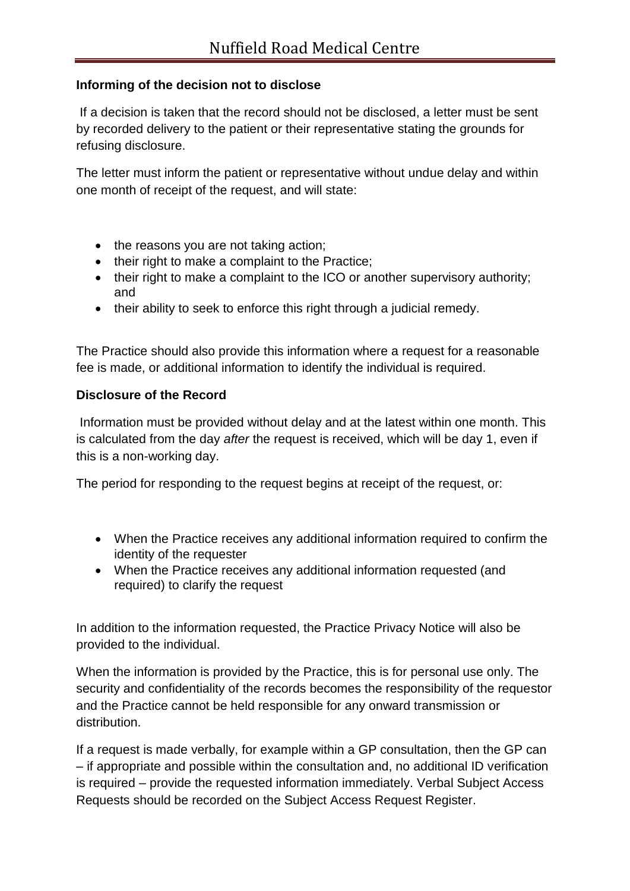#### **Informing of the decision not to disclose**

If a decision is taken that the record should not be disclosed, a letter must be sent by recorded delivery to the patient or their representative stating the grounds for refusing disclosure.

The letter must inform the patient or representative without undue delay and within one month of receipt of the request, and will state:

- the reasons you are not taking action;
- their right to make a complaint to the Practice;
- their right to make a complaint to the ICO or another supervisory authority; and
- their ability to seek to enforce this right through a judicial remedy.

The Practice should also provide this information where a request for a reasonable fee is made, or additional information to identify the individual is required.

#### **Disclosure of the Record**

Information must be provided without delay and at the latest within one month. This is calculated from the day *after* the request is received, which will be day 1, even if this is a non-working day.

The period for responding to the request begins at receipt of the request, or:

- When the Practice receives any additional information required to confirm the identity of the requester
- When the Practice receives any additional information requested (and required) to clarify the request

In addition to the information requested, the Practice Privacy Notice will also be provided to the individual.

When the information is provided by the Practice, this is for personal use only. The security and confidentiality of the records becomes the responsibility of the requestor and the Practice cannot be held responsible for any onward transmission or distribution.

If a request is made verbally, for example within a GP consultation, then the GP can – if appropriate and possible within the consultation and, no additional ID verification is required – provide the requested information immediately. Verbal Subject Access Requests should be recorded on the Subject Access Request Register.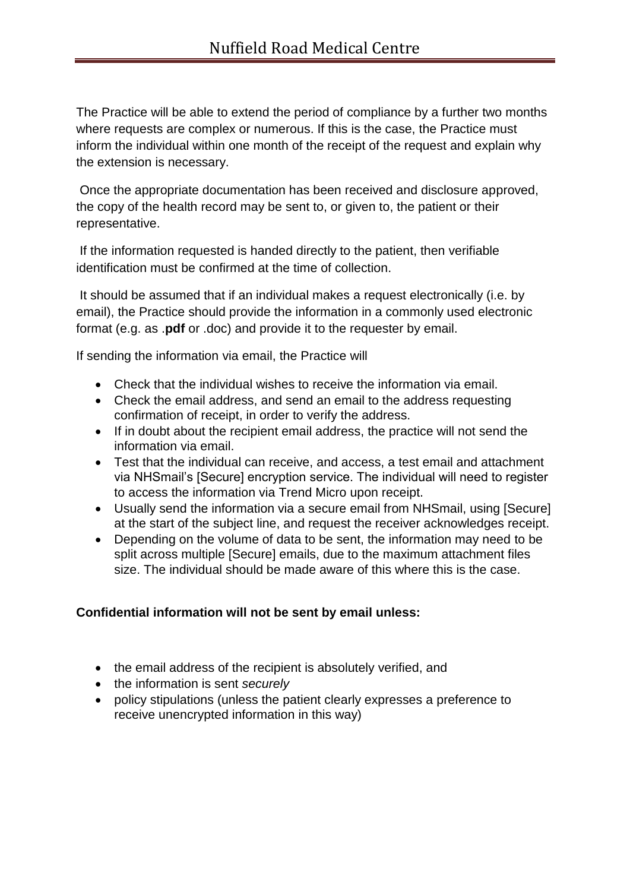The Practice will be able to extend the period of compliance by a further two months where requests are complex or numerous. If this is the case, the Practice must inform the individual within one month of the receipt of the request and explain why the extension is necessary.

Once the appropriate documentation has been received and disclosure approved, the copy of the health record may be sent to, or given to, the patient or their representative.

If the information requested is handed directly to the patient, then verifiable identification must be confirmed at the time of collection.

It should be assumed that if an individual makes a request electronically (i.e. by email), the Practice should provide the information in a commonly used electronic format (e.g. as .**pdf** or .doc) and provide it to the requester by email.

If sending the information via email, the Practice will

- Check that the individual wishes to receive the information via email.
- Check the email address, and send an email to the address requesting confirmation of receipt, in order to verify the address.
- If in doubt about the recipient email address, the practice will not send the information via email.
- Test that the individual can receive, and access, a test email and attachment via NHSmail's [Secure] encryption service. The individual will need to register to access the information via Trend Micro upon receipt.
- Usually send the information via a secure email from NHSmail, using [Secure] at the start of the subject line, and request the receiver acknowledges receipt.
- Depending on the volume of data to be sent, the information may need to be split across multiple [Secure] emails, due to the maximum attachment files size. The individual should be made aware of this where this is the case.

## **Confidential information will not be sent by email unless:**

- the email address of the recipient is absolutely verified, and
- the information is sent *securely*
- policy stipulations (unless the patient clearly expresses a preference to receive unencrypted information in this way)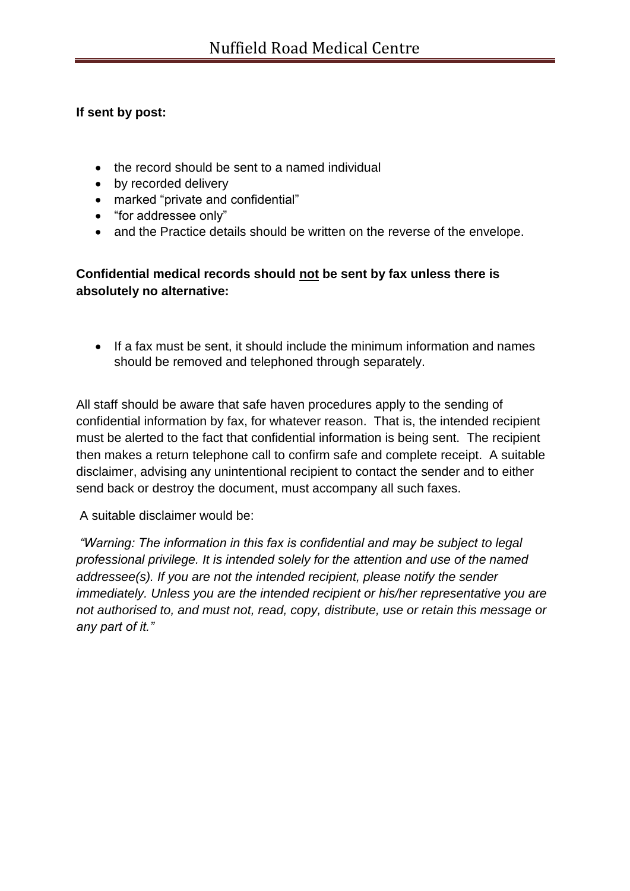#### **If sent by post:**

- the record should be sent to a named individual
- by recorded delivery
- marked "private and confidential"
- "for addressee only"
- and the Practice details should be written on the reverse of the envelope.

#### **Confidential medical records should not be sent by fax unless there is absolutely no alternative:**

• If a fax must be sent, it should include the minimum information and names should be removed and telephoned through separately.

All staff should be aware that safe haven procedures apply to the sending of confidential information by fax, for whatever reason. That is, the intended recipient must be alerted to the fact that confidential information is being sent. The recipient then makes a return telephone call to confirm safe and complete receipt. A suitable disclaimer, advising any unintentional recipient to contact the sender and to either send back or destroy the document, must accompany all such faxes.

A suitable disclaimer would be:

*"Warning: The information in this fax is confidential and may be subject to legal professional privilege. It is intended solely for the attention and use of the named addressee(s). If you are not the intended recipient, please notify the sender immediately. Unless you are the intended recipient or his/her representative you are not authorised to, and must not, read, copy, distribute, use or retain this message or any part of it."*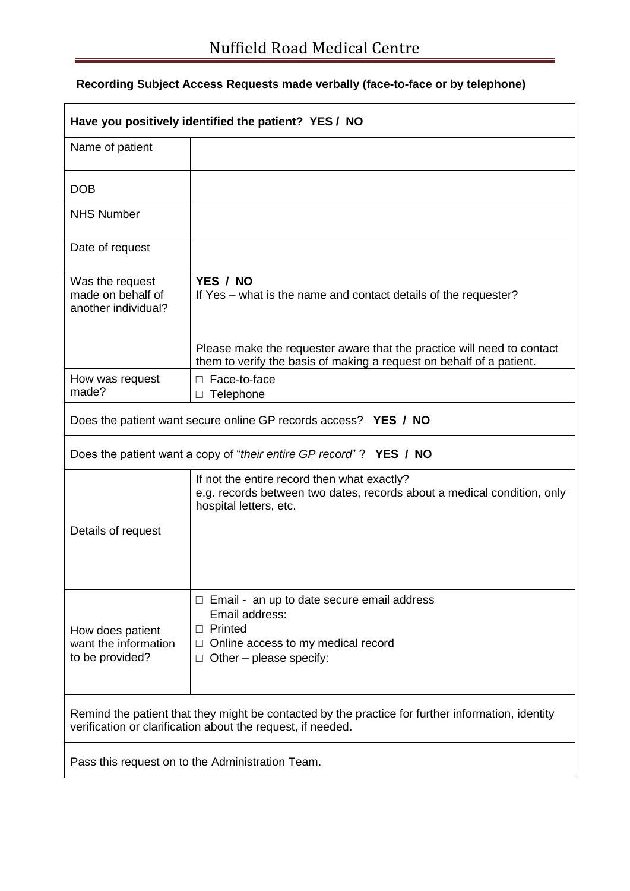# **Recording Subject Access Requests made verbally (face-to-face or by telephone)**

|                                                             | Have you positively identified the patient? YES / NO                                                                                                             |
|-------------------------------------------------------------|------------------------------------------------------------------------------------------------------------------------------------------------------------------|
| Name of patient                                             |                                                                                                                                                                  |
| <b>DOB</b>                                                  |                                                                                                                                                                  |
| <b>NHS Number</b>                                           |                                                                                                                                                                  |
| Date of request                                             |                                                                                                                                                                  |
| Was the request<br>made on behalf of<br>another individual? | YES / NO<br>If Yes – what is the name and contact details of the requester?                                                                                      |
|                                                             | Please make the requester aware that the practice will need to contact<br>them to verify the basis of making a request on behalf of a patient.                   |
| How was request<br>made?                                    | Face-to-face<br>П<br>Telephone<br>□                                                                                                                              |
|                                                             | Does the patient want secure online GP records access? YES / NO                                                                                                  |
|                                                             | Does the patient want a copy of "their entire GP record"? YES / NO                                                                                               |
|                                                             | If not the entire record then what exactly?<br>e.g. records between two dates, records about a medical condition, only<br>hospital letters, etc.                 |
| Details of request                                          |                                                                                                                                                                  |
|                                                             |                                                                                                                                                                  |
| How does patient<br>want the information                    | $\Box$ Email - an up to date secure email address<br>Email address:<br>Printed<br>Online access to my medical record                                             |
| to be provided?                                             | Other – please specify:                                                                                                                                          |
|                                                             | Remind the patient that they might be contacted by the practice for further information, identity<br>verification or clarification about the request, if needed. |
|                                                             | Pass this request on to the Administration Team.                                                                                                                 |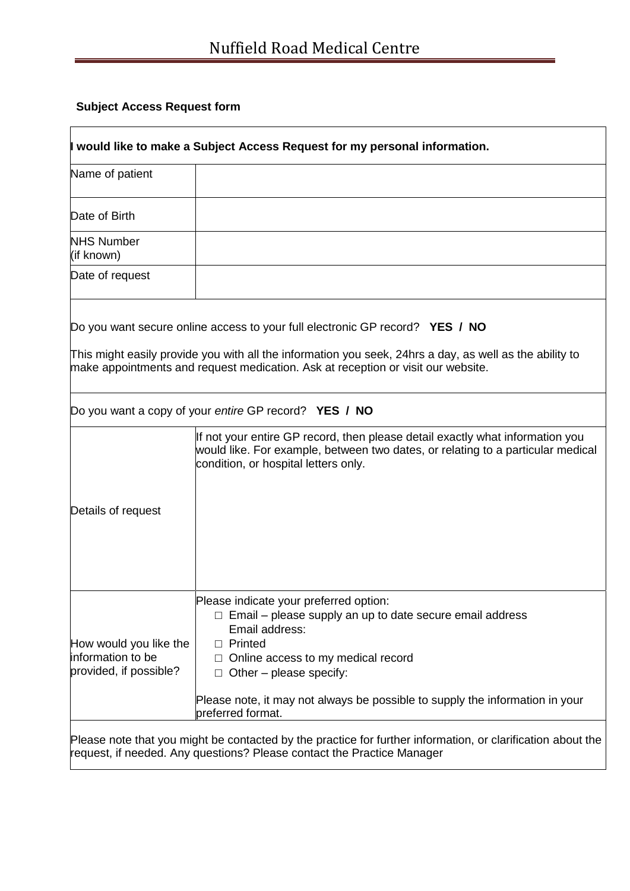## **Subject Access Request form**

L

| Name of patient                                                       |                                                                                                                                                                                                                                                                             |
|-----------------------------------------------------------------------|-----------------------------------------------------------------------------------------------------------------------------------------------------------------------------------------------------------------------------------------------------------------------------|
| Date of Birth                                                         |                                                                                                                                                                                                                                                                             |
| <b>NHS Number</b><br>(if known)                                       |                                                                                                                                                                                                                                                                             |
| Date of request                                                       |                                                                                                                                                                                                                                                                             |
|                                                                       | Do you want secure online access to your full electronic GP record? YES / NO<br>This might easily provide you with all the information you seek, 24hrs a day, as well as the ability to<br>make appointments and request medication. Ask at reception or visit our website. |
|                                                                       | Do you want a copy of your entire GP record? YES / NO                                                                                                                                                                                                                       |
|                                                                       | If not your entire GP record, then please detail exactly what information you<br>would like. For example, between two dates, or relating to a particular medical<br>condition, or hospital letters only.                                                                    |
| Details of request                                                    |                                                                                                                                                                                                                                                                             |
| How would you like the<br>information to be<br>provided, if possible? | Please indicate your preferred option:<br>$\Box$ Email – please supply an up to date secure email address<br>Email address:<br>$\Box$ Printed<br>Online access to my medical record<br>$\Box$ Other – please specify:                                                       |
|                                                                       | Please note, it may not always be possible to supply the information in your<br>preferred format.                                                                                                                                                                           |